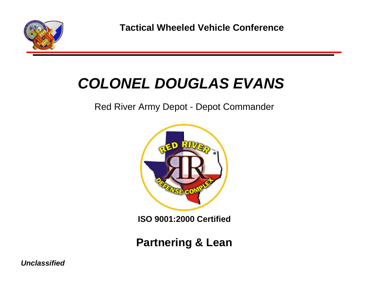

## *COLONEL DOUGLAS EVANS*

#### Red River Army Depot - Depot Commander



**ISO 9001:2000 Certified**

**Partnering & Lean**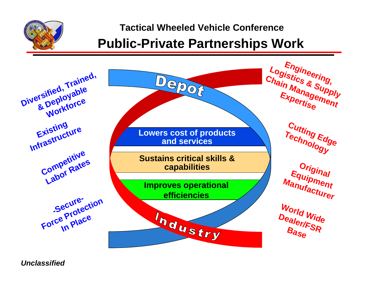

#### **Public-Private Partnerships Work**

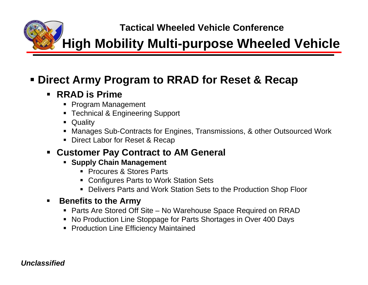**Tactical Wheeled Vehicle Conference High Mobility Multi-purpose Wheeled Vehicle**

#### **Direct Army Program to RRAD for Reset & Recap**

#### $\blacksquare$ **RRAD is Prime**

- Program Management
- Technical & Engineering Support
- $\blacksquare$ Quality
- Manages Sub-Contracts for Engines, Transmissions, & other Outsourced Work
- Direct Labor for Reset & Recap

#### **Customer Pay Contract to AM General**

- **Supply Chain Management** 
	- Procures & Stores Parts
	- Configures Parts to Work Station Sets
	- Delivers Parts and Work Station Sets to the Production Shop Floor

#### $\blacksquare$ **Benefits to the Army**

- Parts Are Stored Off Site No Warehouse Space Required on RRAD
- No Production Line Stoppage for Parts Shortages in Over 400 Days
- **Production Line Efficiency Maintained**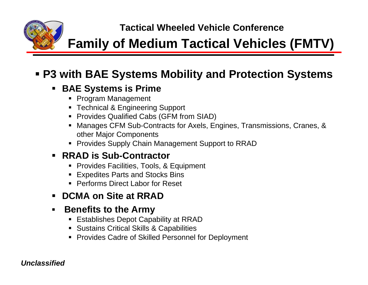## **Family of Medium Tactical Vehicles (FMTV)**

#### **P3 with BAE Systems Mobility and Protection Systems**

#### **BAE Systems is Prime**

- Program Management
- Technical & Engineering Support
- Provides Qualified Cabs (GFM from SIAD)
- Manages CFM Sub-Contracts for Axels, Engines, Transmissions, Cranes, & other Major Components
- Provides Supply Chain Management Support to RRAD

#### **RRAD is Sub-Contractor**

- Provides Facilities, Tools, & Equipment
- Expedites Parts and Stocks Bins
- Performs Direct Labor for Reset

#### $\blacksquare$ **DCMA on Site at RRAD**

#### $\blacksquare$ **Benefits to the Army**

- Establishes Depot Capability at RRAD
- **Sustains Critical Skills & Capabilities**
- **Provides Cadre of Skilled Personnel for Deployment**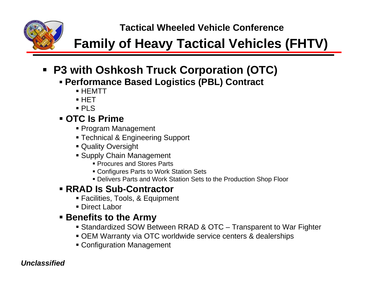## **Family of Heavy Tactical Vehicles (FHTV)**

### **P3 with Oshkosh Truck Corporation (OTC)**

- **Performance Based Logistics (PBL) Contract**
	- HEMTT
	- HET
	- PLS

#### **OTC Is Prime**

- Program Management
- Technical & Engineering Support
- Quality Oversight
- Supply Chain Management
	- Procures and Stores Parts
	- Configures Parts to Work Station Sets
	- Delivers Parts and Work Station Sets to the Production Shop Floor

#### **RRAD Is Sub-Contractor**

- Facilities, Tools, & Equipment
- Direct Labor

#### **Benefits to the Army**

- Standardized SOW Between RRAD & OTC Transparent to War Fighter
- OEM Warranty via OTC worldwide service centers & dealerships
- Configuration Management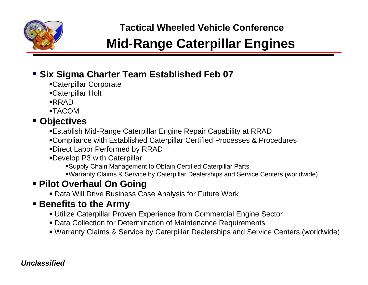

## **Mid-Range Caterpillar Engines**

#### **Six Sigma Charter Team Established Feb 07**

- Caterpillar Corporate
- Caterpillar Holt
- RRAD
- TACOM

#### **Objectives**

- Establish Mid-Range Caterpillar Engine Repair Capability at RRAD
- Compliance with Established Caterpillar Certified Processes & Procedures
- Direct Labor Performed by RRAD
- Develop P3 with Caterpillar
	- Supply Chain Management to Obtain Certified Caterpillar Parts
	- Warranty Claims & Service by Caterpillar Dealerships and Service Centers (worldwide)

#### **Pilot Overhaul On Going**

Data Will Drive Business Case Analysis for Future Work

#### **Benefits to the Army**

- Utilize Caterpillar Proven Experience from Commercial Engine Sector
- Data Collection for Determination of Maintenance Requirements
- Warranty Claims & Service by Caterpillar Dealerships and Service Centers (worldwide)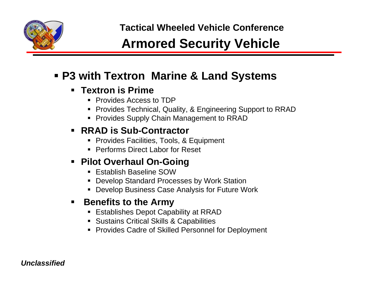

## **Armored Security Vehicle**

#### **P3 with Textron Marine & Land Systems**

#### **Textron is Prime**

- Provides Access to TDP
- Provides Technical, Quality, & Engineering Support to RRAD
- **Provides Supply Chain Management to RRAD**

#### **RRAD is Sub-Contractor**

- Provides Facilities, Tools, & Equipment
- Performs Direct Labor for Reset

#### **Pilot Overhaul On-Going**

- Establish Baseline SOW
- Develop Standard Processes by Work Station
- Develop Business Case Analysis for Future Work

#### ٠ **Benefits to the Army**

- Establishes Depot Capability at RRAD
- **Sustains Critical Skills & Capabilities**
- **Provides Cadre of Skilled Personnel for Deployment**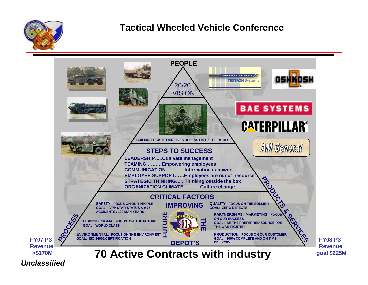

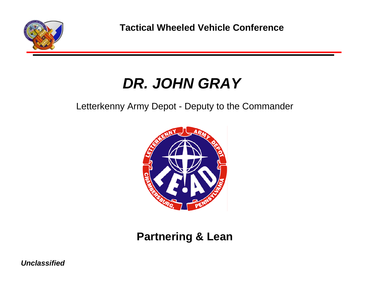

## *DR. JOHN GRAY*

Letterkenny Army Depot - Deputy to the Commander



#### **Partnering & Lean**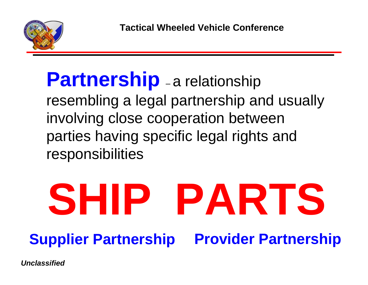

#### **Partnership** –-a relationship resembling a legal partnership and usually involving close cooperation between parties having specific legal rights and responsibilities

# **SHIP PARTS Supplier Partnership Provider Partnership**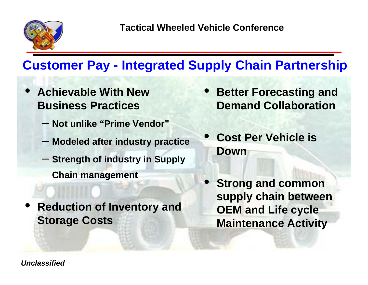

## **Customer Pay - Integrated Supply Chain Partnership**

- • **Achievable With New Business Practices**
	- **Not unlike "Prime Vendor"**
	- **Modeled after industry practice**
	- **Strength of industry in Supply Chain management**
- • **Reduction of Inventory and Storage Costs**
- $\bullet$  **Better Forecasting and Demand Collaboration**
- $\bullet$  **Cost Per Vehicle is Down**
- $\bullet$  **Strong and common supply chain between OEM and Life cycle Maintenance Activity**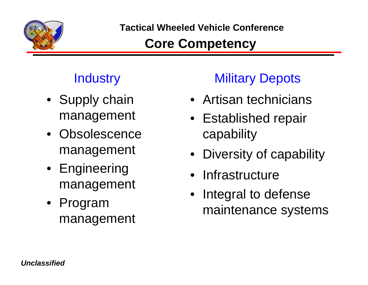

## **Core Competency**

- Supply chain management
- Obsolescence management
- Engineering management
- Program management

## **Industry Military Depots**

- Artisan technicians
- Established repair capability
- Diversity of capability
- Infrastructure
- Integral to defense maintenance systems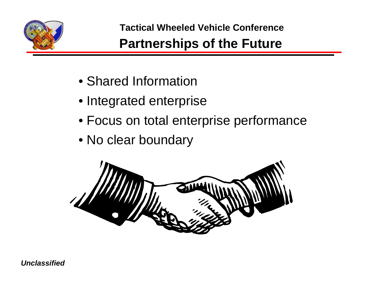

## **Partnerships of the Future**

- Shared Information
- Integrated enterprise
- Focus on total enterprise performance
- No clear boundary

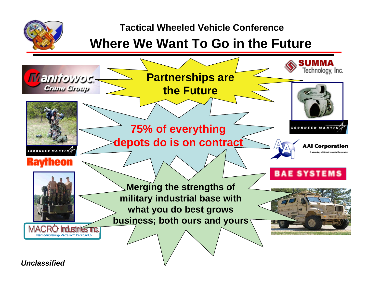

#### **Where We Want To Go in the Future**